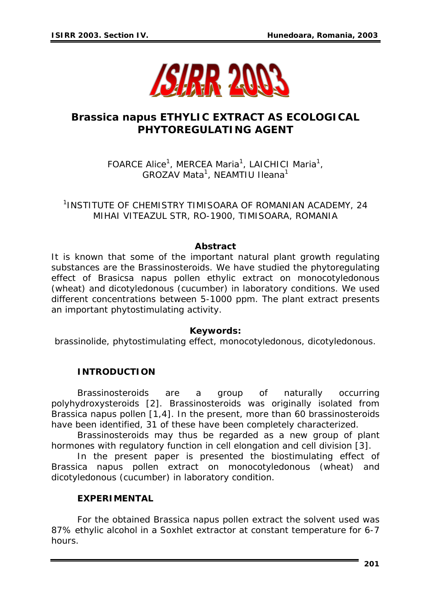

# *Brassica napus* **ETHYLIC EXTRACT AS ECOLOGICAL PHYTOREGULATING AGENT**

FOARCE Alice<sup>1</sup>, MERCEA Maria<sup>1</sup>, LAICHICI Maria<sup>1</sup>, GROZAV Mata<sup>1</sup>, NEAMTIU Ileana<sup>1</sup>

1 INSTITUTE OF CHEMISTRY TIMISOARA OF ROMANIAN ACADEMY, 24 MIHAI VITEAZUL STR, RO-1900, TIMISOARA, ROMANIA

#### *Abstract*

*It is known that some of the important natural plant growth regulating substances are the Brassinosteroids. We have studied the phytoregulating effect of Brasicsa napus pollen ethylic extract on monocotyledonous (wheat) and dicotyledonous (cucumber) in laboratory conditions. We used different concentrations between 5-1000 ppm. The plant extract presents an important phytostimulating activity.* 

#### **Keywords:**

*brassinolide, phytostimulating effect, monocotyledonous, dicotyledonous.* 

### **INTRODUCTION**

Brassinosteroids are a group of naturally occurring polyhydroxysteroids [2]. Brassinosteroids was originally isolated from *Brassica napus* pollen [1,4]. In the present, more than 60 brassinosteroids have been identified, 31 of these have been completely characterized.

Brassinosteroids may thus be regarded as a new group of plant hormones with regulatory function in cell elongation and cell division [3].

In the present paper is presented the biostimulating effect of *Brassica napus* pollen extract on monocotyledonous (wheat) and dicotyledonous (cucumber) in laboratory condition.

#### **EXPERIMENTAL**

For the obtained *Brassica napus* pollen extract the solvent used was 87% ethylic alcohol in a Soxhlet extractor at constant temperature for 6-7 hours.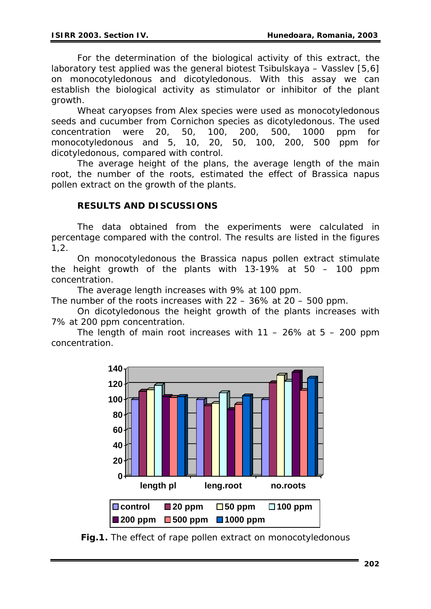For the determination of the biological activity of this extract, the laboratory test applied was the general biotest Tsibulskaya – Vasslev [5,6] on monocotyledonous and dicotyledonous. With this assay we can establish the biological activity as stimulator or inhibitor of the plant growth.

Wheat caryopses from Alex species were used as monocotyledonous seeds and cucumber from Cornichon species as dicotyledonous. The used concentration were 20, 50, 100, 200, 500, 1000 ppm for monocotyledonous and 5, 10, 20, 50, 100, 200, 500 ppm for dicotyledonous, compared with control.

The average height of the plans, the average length of the main root, the number of the roots, estimated the effect of *Brassica napus*  pollen extract on the growth of the plants.

### **RESULTS AND DISCUSSIONS**

 The data obtained from the experiments were calculated in percentage compared with the control. The results are listed in the figures 1,2.

 On monocotyledonous the *Brassica napus* pollen extract stimulate the height growth of the plants with 13-19% at 50 – 100 ppm concentration.

The average length increases with 9% at 100 ppm.

The number of the roots increases with 22 – 36% at 20 – 500 ppm.

 On dicotyledonous the height growth of the plants increases with 7% at 200 ppm concentration.

The length of main root increases with  $11 - 26\%$  at  $5 - 200$  ppm concentration.



**Fig.1.** The effect of rape pollen extract on monocotyledonous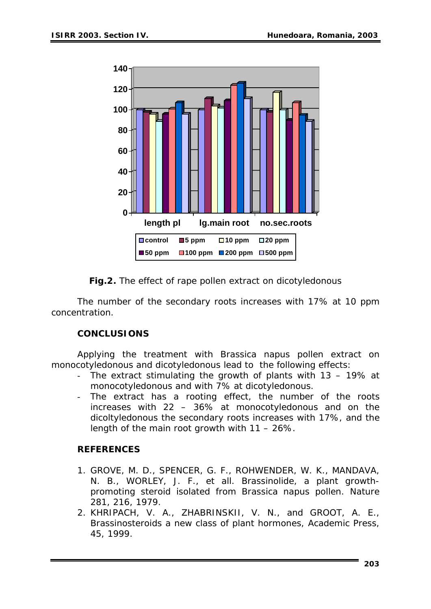

**Fig.2.** The effect of rape pollen extract on dicotyledonous

The number of the secondary roots increases with 17% at 10 ppm concentration.

# **CONCLUSIONS**

 Applying the treatment with *Brassica napus* pollen extract on monocotyledonous and dicotyledonous lead to the following effects:

- The extract stimulating the growth of plants with 13 19% at monocotyledonous and with 7% at dicotyledonous.
- The extract has a rooting effect, the number of the roots increases with 22 – 36% at monocotyledonous and on the dicoltyledonous the secondary roots increases with 17%, and the length of the main root growth with 11 – 26%.

# **REFERENCES**

- 1. GROVE, M. D., SPENCER, G. F., ROHWENDER, W. K., MANDAVA, N. B., WORLEY, J. F., et all. Brassinolide, a plant growthpromoting steroid isolated from *Brassica napus* pollen. Nature 281, 216, 1979.
- 2. KHRIPACH, V. A., ZHABRINSKII, V. N., and GROOT, A. E., Brassinosteroids a new class of plant hormones, Academic Press, 45, 1999.